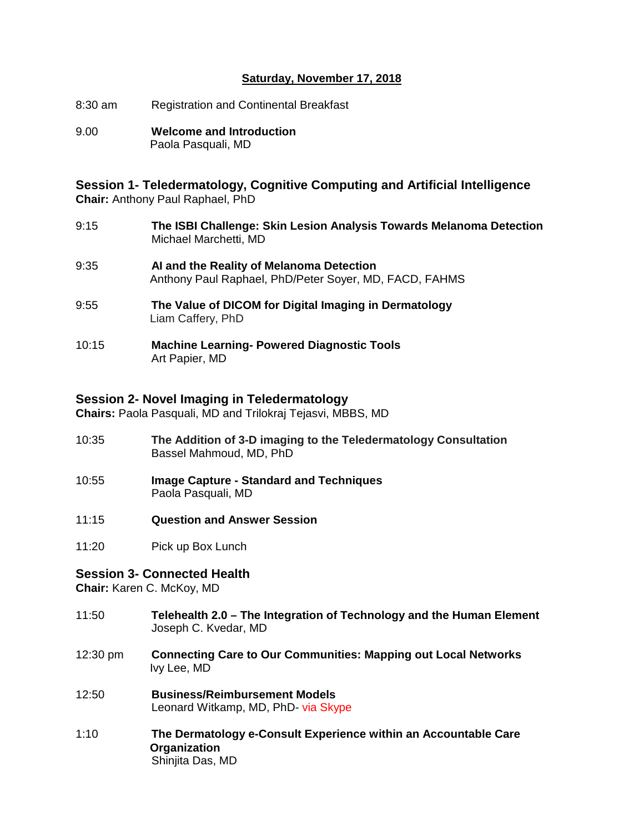### **Saturday, November 17, 2018**

- 8:30 am Registration and Continental Breakfast
- 9.00 **Welcome and Introduction**  Paola Pasquali, MD

**Session 1- Teledermatology, Cognitive Computing and Artificial Intelligence Chair:** Anthony Paul Raphael, PhD

- 9:15 **The ISBI Challenge: Skin Lesion Analysis Towards Melanoma Detection** Michael Marchetti, MD
- 9:35 **AI and the Reality of Melanoma Detection** Anthony Paul Raphael, PhD/Peter Soyer, MD, FACD, FAHMS
- 9:55 **The Value of DICOM for Digital Imaging in Dermatology** Liam Caffery, PhD
- 10:15 **Machine Learning- Powered Diagnostic Tools** Art Papier, MD

### **Session 2- Novel Imaging in Teledermatology**

**Chairs:** Paola Pasquali, MD and Trilokraj Tejasvi, MBBS, MD

- 10:35 **The Addition of 3-D imaging to the Teledermatology Consultation** Bassel Mahmoud, MD, PhD
- 10:55 **Image Capture - Standard and Techniques** Paola Pasquali, MD
- 11:15 **Question and Answer Session**
- 11:20 Pick up Box Lunch

### **Session 3- Connected Health**

**Chair:** Karen C. McKoy, MD

- 11:50 **Telehealth 2.0 – The Integration of Technology and the Human Element** Joseph C. Kvedar, MD
- 12:30 pm **Connecting Care to Our Communities: Mapping out Local Networks** Ivy Lee, MD
- 12:50 **Business/Reimbursement Models** Leonard Witkamp, MD, PhD- via Skype
- 1:10 **The Dermatology e-Consult Experience within an Accountable Care Organization** Shinjita Das, MD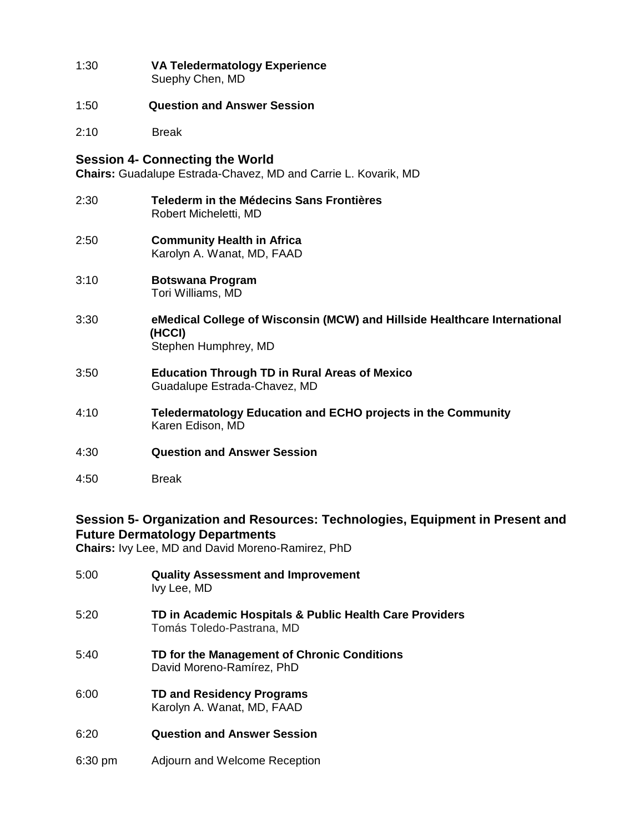- 1:30 **VA Teledermatology Experience** Suephy Chen, MD
- 1:50 **Question and Answer Session**
- 2:10 Break

### **Session 4- Connecting the World**

**Chairs:** Guadalupe Estrada-Chavez, MD and Carrie L. Kovarik, MD

- 2:30 **Telederm in the Médecins Sans Frontières** Robert Micheletti, MD
- 2:50 **Community Health in Africa** Karolyn A. Wanat, MD, FAAD
- 3:10 **Botswana Program** Tori Williams, MD
- 3:30 **eMedical College of Wisconsin (MCW) and Hillside Healthcare International (HCCI)** Stephen Humphrey, MD
- 3:50 **Education Through TD in Rural Areas of Mexico** Guadalupe Estrada-Chavez, MD
- 4:10 **Teledermatology Education and ECHO projects in the Community** Karen Edison, MD
- 4:30 **Question and Answer Session**
- 4:50 Break

# **Session 5- Organization and Resources: Technologies, Equipment in Present and Future Dermatology Departments**

**Chairs:** Ivy Lee, MD and David Moreno-Ramirez, PhD

- 5:00 **Quality Assessment and Improvement** Ivy Lee, MD 5:20 **TD in Academic Hospitals & Public Health Care Providers** Tomás Toledo-Pastrana, MD 5:40 **TD for the Management of Chronic Conditions** David Moreno-Ramírez, PhD 6:00 **TD and Residency Programs** Karolyn A. Wanat, MD, FAAD 6:20 **Question and Answer Session**
- 6:30 pm Adjourn and Welcome Reception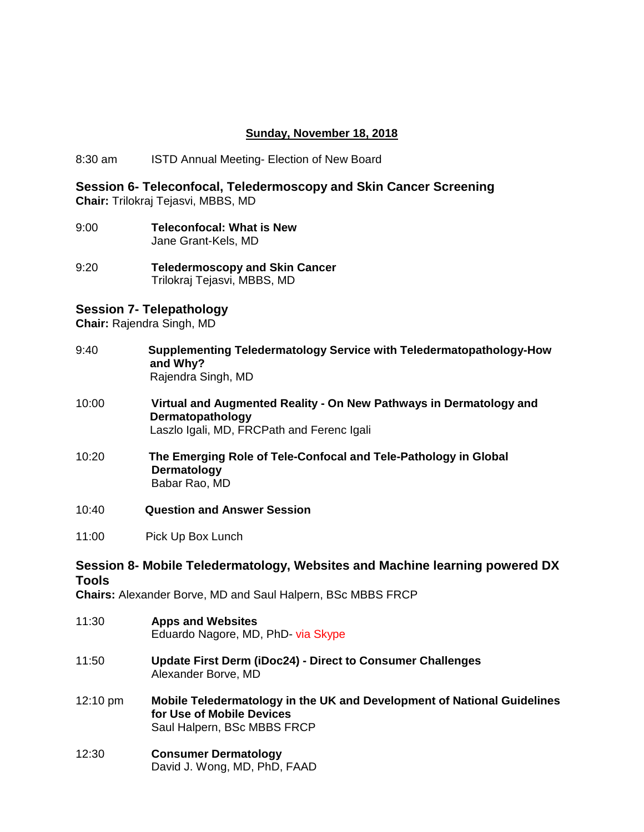### **Sunday, November 18, 2018**

8:30 am ISTD Annual Meeting- Election of New Board

**Session 6- Teleconfocal, Teledermoscopy and Skin Cancer Screening Chair:** Trilokraj Tejasvi, MBBS, MD

- 9:00 **Teleconfocal: What is New** Jane Grant-Kels, MD
- 9:20 **Teledermoscopy and Skin Cancer** Trilokraj Tejasvi, MBBS, MD

# **Session 7- Telepathology**

**Chair:** Rajendra Singh, MD

- 9:40 **Supplementing Teledermatology Service with Teledermatopathology-How and Why?** Rajendra Singh, MD
- 10:00 **Virtual and Augmented Reality - On New Pathways in Dermatology and Dermatopathology** Laszlo Igali, MD, FRCPath and Ferenc Igali
- 10:20 **The Emerging Role of Tele-Confocal and Tele-Pathology in Global Dermatology** Babar Rao, MD
- 10:40 **Question and Answer Session**
- 11:00Pick Up Box Lunch

## **Session 8- Mobile Teledermatology, Websites and Machine learning powered DX Tools**

**Chairs:** Alexander Borve, MD and Saul Halpern, BSc MBBS FRCP

- 11:30 **Apps and Websites** Eduardo Nagore, MD, PhD- via Skype
- 11:50 **Update First Derm (iDoc24) - Direct to Consumer Challenges** Alexander Borve, MD
- 12:10 pm **Mobile Teledermatology in the UK and Development of National Guidelines for Use of Mobile Devices** Saul Halpern, BSc MBBS FRCP
- 12:30 **Consumer Dermatology** David J. Wong, MD, PhD, FAAD